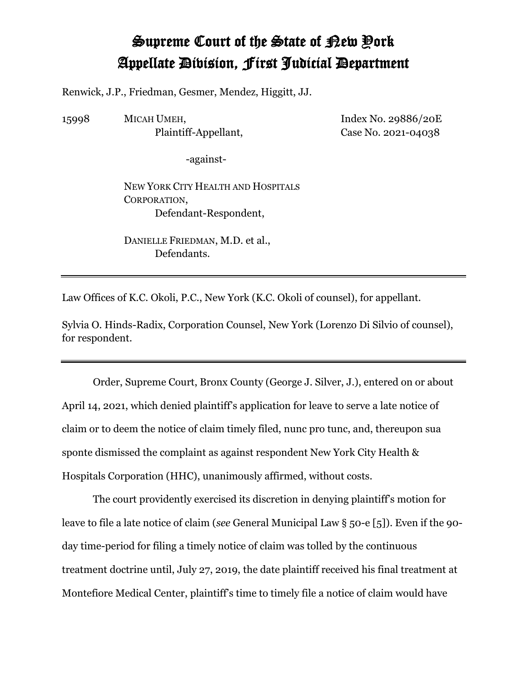## Supreme Court of the State of New York Appellate Division, First Judicial Department

Renwick, J.P., Friedman, Gesmer, Mendez, Higgitt, JJ.

15998 MICAH UMEH, Plaintiff-Appellant, Index No. 29886/20E Case No. 2021-04038

-against-

NEW YORK CITY HEALTH AND HOSPITALS CORPORATION, Defendant-Respondent,

DANIELLE FRIEDMAN, M.D. et al., Defendants.

Law Offices of K.C. Okoli, P.C., New York (K.C. Okoli of counsel), for appellant.

Sylvia O. Hinds-Radix, Corporation Counsel, New York (Lorenzo Di Silvio of counsel), for respondent.

Order, Supreme Court, Bronx County (George J. Silver, J.), entered on or about April 14, 2021, which denied plaintiff's application for leave to serve a late notice of claim or to deem the notice of claim timely filed, nunc pro tunc, and, thereupon sua sponte dismissed the complaint as against respondent New York City Health & Hospitals Corporation (HHC), unanimously affirmed, without costs.

The court providently exercised its discretion in denying plaintiff's motion for leave to file a late notice of claim (*see* General Municipal Law § 50-e [5]). Even if the 90 day time-period for filing a timely notice of claim was tolled by the continuous treatment doctrine until, July 27, 2019, the date plaintiff received his final treatment at Montefiore Medical Center, plaintiff's time to timely file a notice of claim would have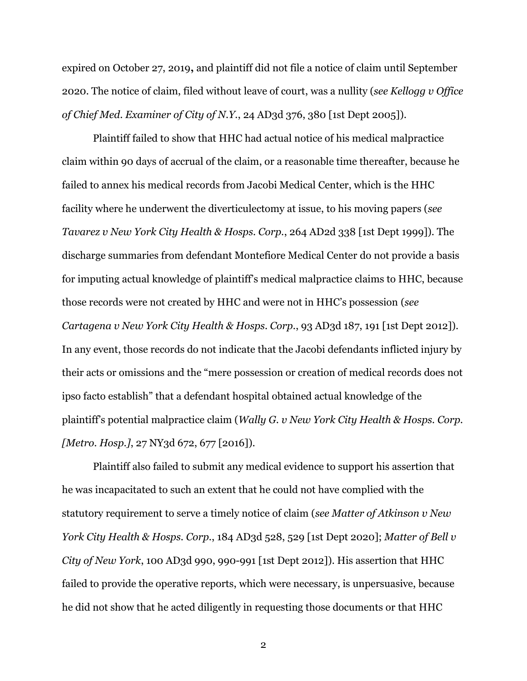expired on October 27, 2019**,** and plaintiff did not file a notice of claim until September 2020. The notice of claim, filed without leave of court, was a nullity (*see Kellogg v Office of Chief Med. Examiner of City of N.Y.*, 24 AD3d 376, 380 [1st Dept 2005]).

Plaintiff failed to show that HHC had actual notice of his medical malpractice claim within 90 days of accrual of the claim, or a reasonable time thereafter, because he failed to annex his medical records from Jacobi Medical Center, which is the HHC facility where he underwent the diverticulectomy at issue, to his moving papers (*see Tavarez v New York City Health & Hosps. Corp.*, 264 AD2d 338 [1st Dept 1999]). The discharge summaries from defendant Montefiore Medical Center do not provide a basis for imputing actual knowledge of plaintiff's medical malpractice claims to HHC, because those records were not created by HHC and were not in HHC's possession (*see Cartagena v New York City Health & Hosps. Corp.*, 93 AD3d 187, 191 [1st Dept 2012]). In any event, those records do not indicate that the Jacobi defendants inflicted injury by their acts or omissions and the "mere possession or creation of medical records does not ipso facto establish" that a defendant hospital obtained actual knowledge of the plaintiff's potential malpractice claim (*Wally G. v New York City Health & Hosps. Corp. [Metro. Hosp.]*, 27 NY3d 672, 677 [2016]).

Plaintiff also failed to submit any medical evidence to support his assertion that he was incapacitated to such an extent that he could not have complied with the statutory requirement to serve a timely notice of claim (*see Matter of Atkinson v New York City Health & Hosps. Corp.*, 184 AD3d 528, 529 [1st Dept 2020]; *Matter of Bell v City of New York*, 100 AD3d 990, 990-991 [1st Dept 2012]). His assertion that HHC failed to provide the operative reports, which were necessary, is unpersuasive, because he did not show that he acted diligently in requesting those documents or that HHC

2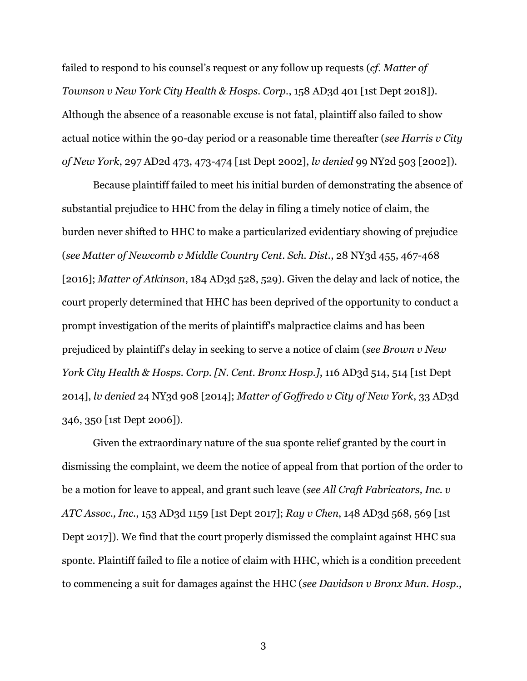failed to respond to his counsel's request or any follow up requests (*cf. Matter of Townson v New York City Health & Hosps. Corp.*, 158 AD3d 401 [1st Dept 2018]). Although the absence of a reasonable excuse is not fatal, plaintiff also failed to show actual notice within the 90-day period or a reasonable time thereafter (*see Harris v City of New York*, 297 AD2d 473, 473-474 [1st Dept 2002], *lv denied* 99 NY2d 503 [2002]).

Because plaintiff failed to meet his initial burden of demonstrating the absence of substantial prejudice to HHC from the delay in filing a timely notice of claim, the burden never shifted to HHC to make a particularized evidentiary showing of prejudice (*see Matter of Newcomb v Middle Country Cent. Sch. Dist.*, 28 NY3d 455, 467-468 [2016]; *Matter of Atkinson*, 184 AD3d 528, 529). Given the delay and lack of notice, the court properly determined that HHC has been deprived of the opportunity to conduct a prompt investigation of the merits of plaintiff's malpractice claims and has been prejudiced by plaintiff's delay in seeking to serve a notice of claim (*see Brown v New York City Health & Hosps. Corp. [N. Cent. Bronx Hosp.]*, 116 AD3d 514, 514 [1st Dept 2014], *lv denied* 24 NY3d 908 [2014]; *Matter of Goffredo v City of New York*, 33 AD3d 346, 350 [1st Dept 2006]).

Given the extraordinary nature of the sua sponte relief granted by the court in dismissing the complaint, we deem the notice of appeal from that portion of the order to be a motion for leave to appeal, and grant such leave (*see All Craft Fabricators, Inc. v ATC Assoc., Inc.*, 153 AD3d 1159 [1st Dept 2017]; *Ray v Chen*, 148 AD3d 568, 569 [1st Dept 2017]). We find that the court properly dismissed the complaint against HHC sua sponte. Plaintiff failed to file a notice of claim with HHC, which is a condition precedent to commencing a suit for damages against the HHC (*see Davidson v Bronx Mun. Hosp.*,

3